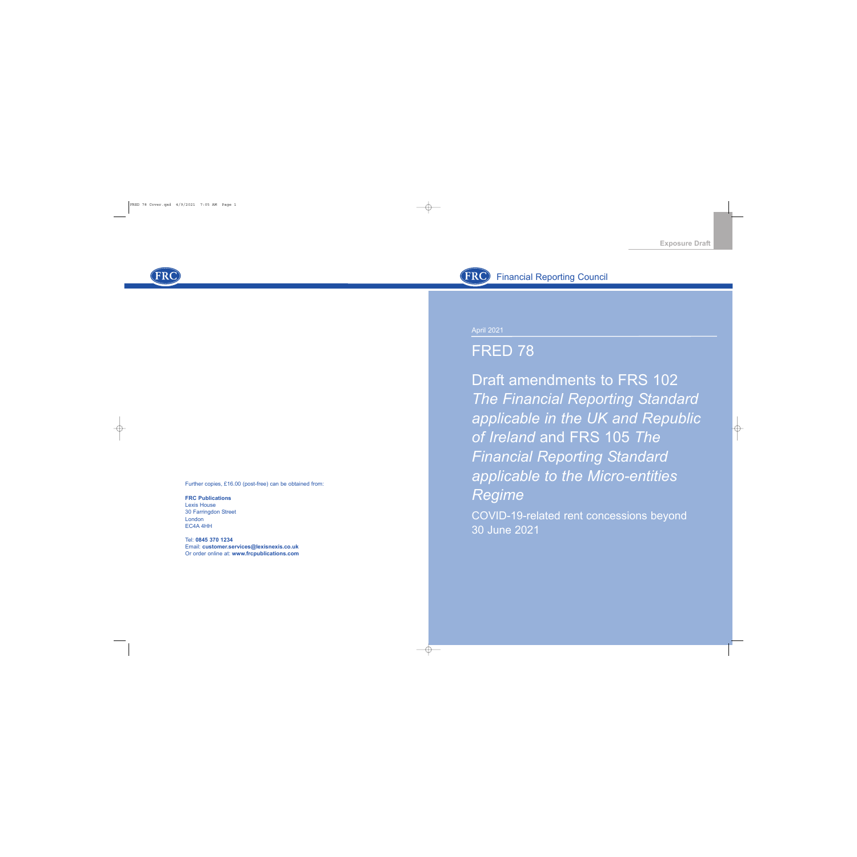

April 2021

## FRED 78

Draft amendments to FRS 102 *The Financial Reporting Standard applicable in the UK and Republic of Ireland* and FRS 105 *The Financial Reporting Standard applicable to the Micro-entities Regime*

COVID-19-related rent concessions beyond 30 June 2021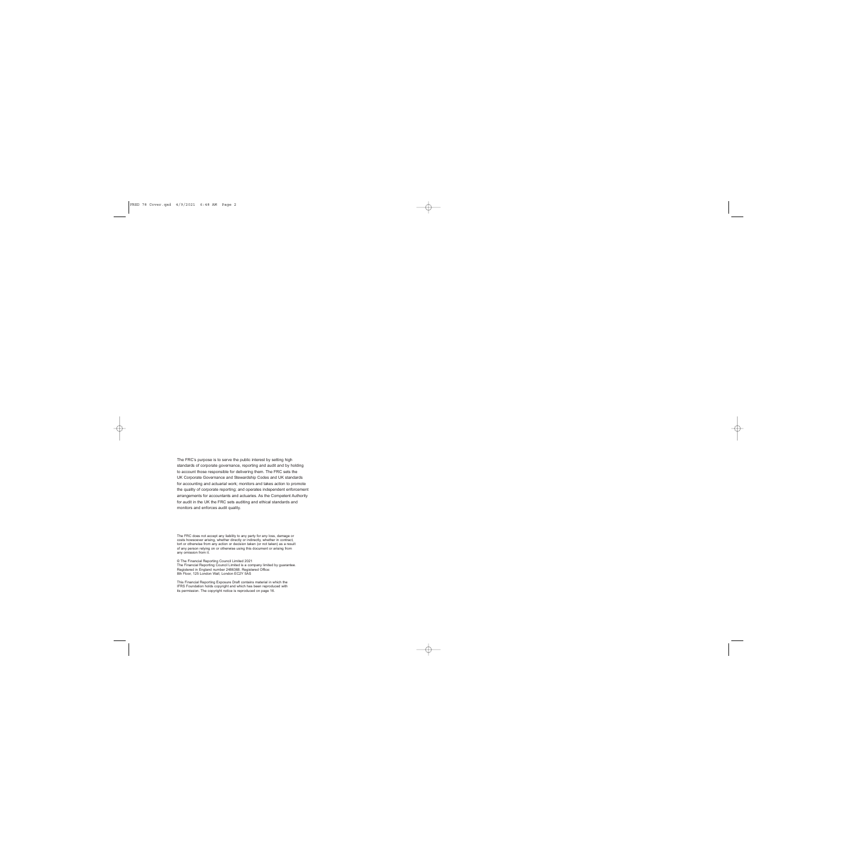The FRC's purpose is to serve the public interest by setting high standards of corporate governance, reporting and audit and by holding to account those responsible for delivering them. The FRC sets the UK Corporate Governance and Stewardship Codes and UK standards for accounting and actuarial work; monitors and takes action to promote the quality of corporate reporting; and operates independent enforcement arrangements for accountants and actuaries. As the Competent Authority for audit in the UK the FRC sets auditing and ethical standards and monitors and enforces audit quality.

The FRC does not accept any liability to any party for any loss, damage or costs howsoever arising, whether directly or indirectly, whether in contract, tort or otherwise from any action or decision taken (or not taken) as a result of any person relying on or otherwise using this document or arising from any omission from it.

© The Financial Reporting Council Limited 2021 The Financial Reporting Council Limited is a company limited by guarantee. Registered in England number 2486368. Registered Office: 8th Floor, 125 London Wall, London EC2Y 5AS

This Financial Reporting Exposure Draft contains material in which the IFRS Foundation holds copyright and which has been reproduced with its permission. The copyright notice is reproduced on page 16.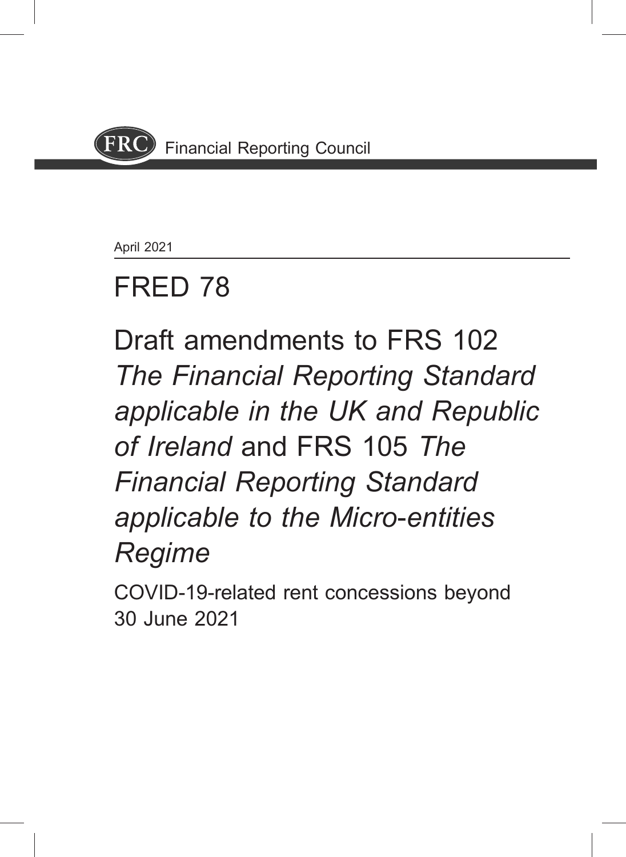

April 2021

# FRED 78

Draft amendments to FRS 102 The Financial Reporting Standard applicable in the UK and Republic of Ireland and FRS 105 The Financial Reporting Standard applicable to the Micro-entities Regime

COVID-19-related rent concessions beyond 30 June 2021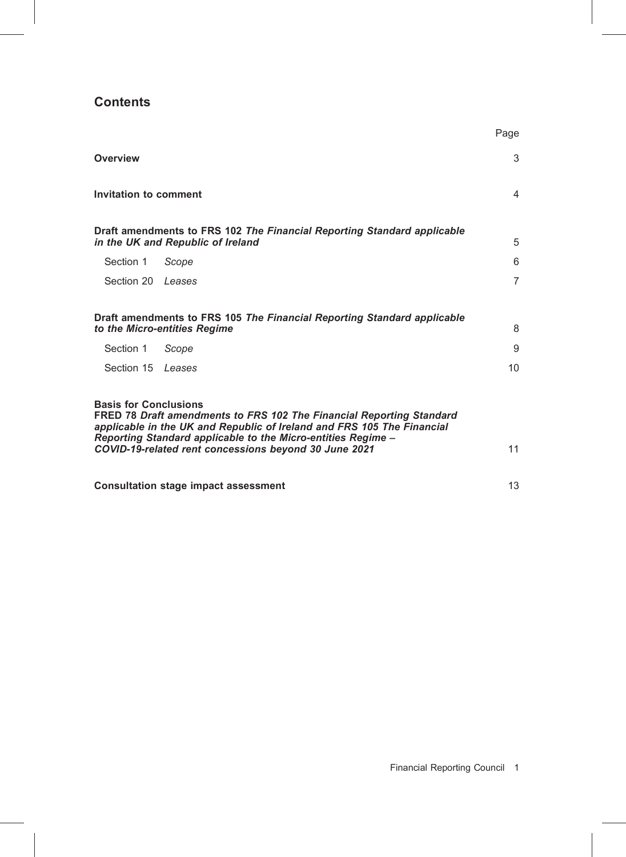## **Contents**

|                                             |                                                                                                                                                                                                                                                                         | Page           |
|---------------------------------------------|-------------------------------------------------------------------------------------------------------------------------------------------------------------------------------------------------------------------------------------------------------------------------|----------------|
| <b>Overview</b>                             |                                                                                                                                                                                                                                                                         | 3              |
| <b>Invitation to comment</b>                |                                                                                                                                                                                                                                                                         | $\overline{4}$ |
|                                             | Draft amendments to FRS 102 The Financial Reporting Standard applicable<br>in the UK and Republic of Ireland                                                                                                                                                            | 5              |
| Section 1                                   | Scope                                                                                                                                                                                                                                                                   | 6              |
| Section 20                                  | Leases                                                                                                                                                                                                                                                                  | $\overline{7}$ |
|                                             | Draft amendments to FRS 105 The Financial Reporting Standard applicable<br>to the Micro-entities Regime                                                                                                                                                                 | 8              |
| Section 1                                   | Scope                                                                                                                                                                                                                                                                   | 9              |
| Section 15                                  | Leases                                                                                                                                                                                                                                                                  | 10             |
| <b>Basis for Conclusions</b>                | FRED 78 Draft amendments to FRS 102 The Financial Reporting Standard<br>applicable in the UK and Republic of Ireland and FRS 105 The Financial<br>Reporting Standard applicable to the Micro-entities Regime -<br>COVID-19-related rent concessions beyond 30 June 2021 | 11             |
| <b>Consultation stage impact assessment</b> |                                                                                                                                                                                                                                                                         | 13             |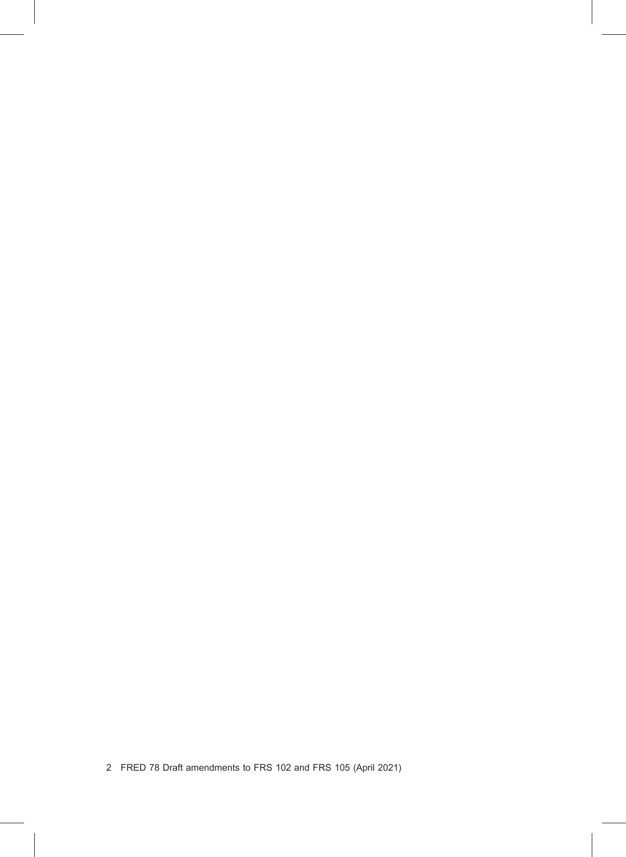2 FRED 78 Draft amendments to FRS 102 and FRS 105 (April 2021)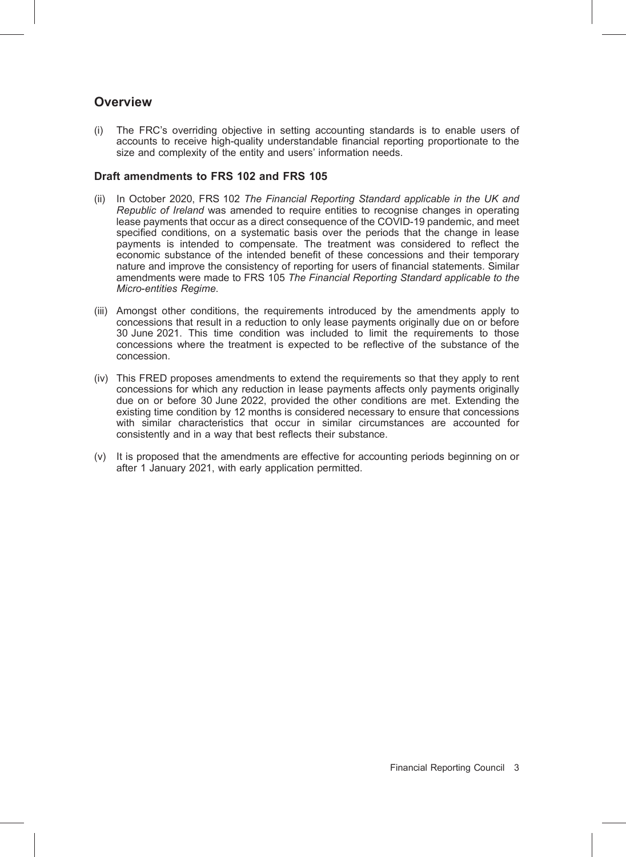## **Overview**

(i) The FRC's overriding objective in setting accounting standards is to enable users of accounts to receive high-quality understandable financial reporting proportionate to the size and complexity of the entity and users' information needs.

## Draft amendments to FRS 102 and FRS 105

- (ii) In October 2020, FRS 102 The Financial Reporting Standard applicable in the UK and Republic of Ireland was amended to require entities to recognise changes in operating lease payments that occur as a direct consequence of the COVID-19 pandemic, and meet specified conditions, on a systematic basis over the periods that the change in lease payments is intended to compensate. The treatment was considered to reflect the economic substance of the intended benefit of these concessions and their temporary nature and improve the consistency of reporting for users of financial statements. Similar amendments were made to FRS 105 The Financial Reporting Standard applicable to the Micro-entities Regime.
- (iii) Amongst other conditions, the requirements introduced by the amendments apply to concessions that result in a reduction to only lease payments originally due on or before 30 June 2021. This time condition was included to limit the requirements to those concessions where the treatment is expected to be reflective of the substance of the concession.
- (iv) This FRED proposes amendments to extend the requirements so that they apply to rent concessions for which any reduction in lease payments affects only payments originally due on or before 30 June 2022, provided the other conditions are met. Extending the existing time condition by 12 months is considered necessary to ensure that concessions with similar characteristics that occur in similar circumstances are accounted for consistently and in a way that best reflects their substance.
- (v) It is proposed that the amendments are effective for accounting periods beginning on or after 1 January 2021, with early application permitted.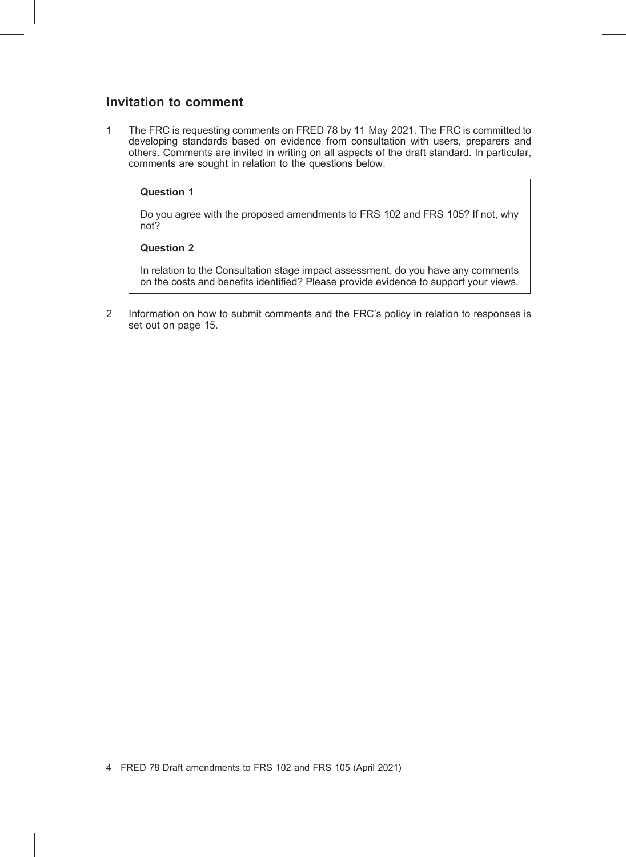## Invitation to comment

1 The FRC is requesting comments on FRED 78 by 11 May 2021. The FRC is committed to developing standards based on evidence from consultation with users, preparers and others. Comments are invited in writing on all aspects of the draft standard. In particular, comments are sought in relation to the questions below.

#### Question 1

Do you agree with the proposed amendments to FRS 102 and FRS 105? If not, why not?

#### Question 2

In relation to the Consultation stage impact assessment, do you have any comments on the costs and benefits identified? Please provide evidence to support your views.

2 Information on how to submit comments and the FRC's policy in relation to responses is set out on page 15.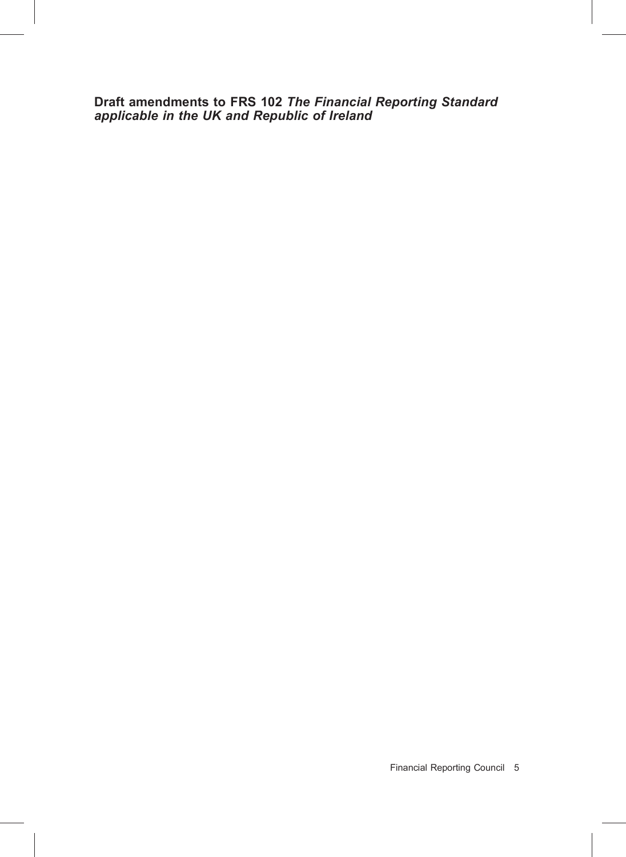Draft amendments to FRS 102 The Financial Reporting Standard applicable in the UK and Republic of Ireland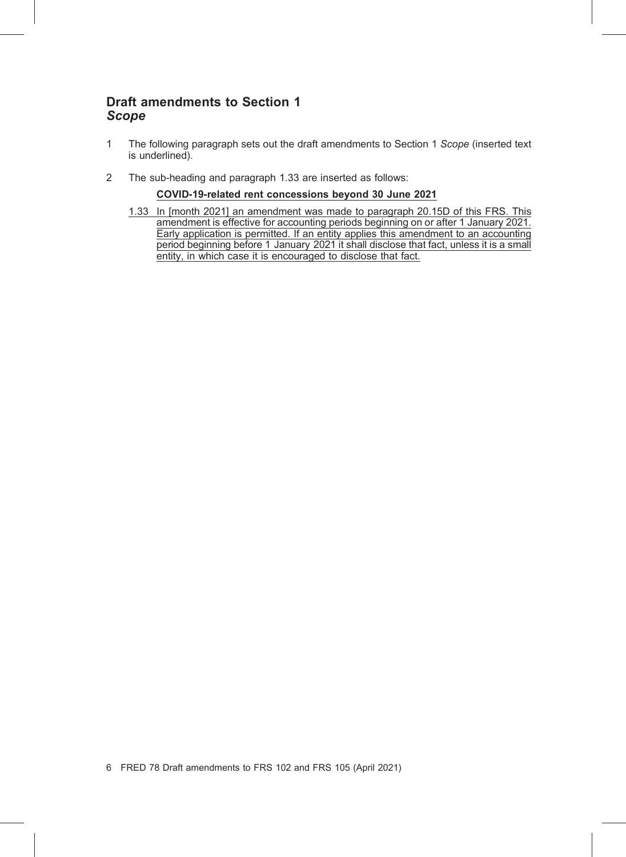## Draft amendments to Section 1 Scope

- 1 The following paragraph sets out the draft amendments to Section 1 Scope (inserted text is underlined).
- 2 The sub-heading and paragraph 1.33 are inserted as follows:

#### COVID-19-related rent concessions beyond 30 June 2021

1.33 In [month 2021] an amendment was made to paragraph 20.15D of this FRS. This amendment is effective for accounting periods beginning on or after 1 January 2021. Early application is permitted. If an entity applies this amendment to an accounting period beginning before 1 January 2021 it shall disclose that fact, unless it is a small entity, in which case it is encouraged to disclose that fact.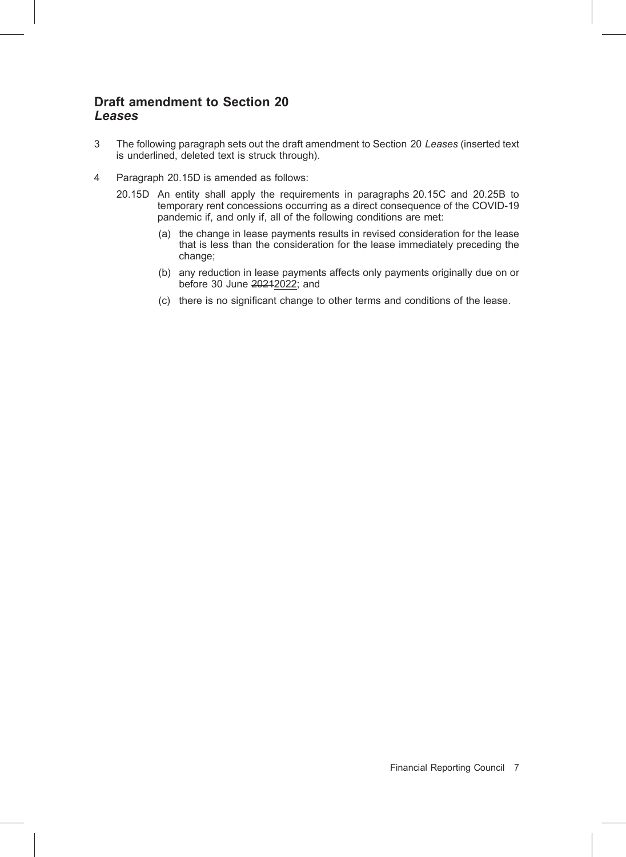## Draft amendment to Section 20 Leases

- 3 The following paragraph sets out the draft amendment to Section 20 Leases (inserted text is underlined, deleted text is struck through).
- 4 Paragraph 20.15D is amended as follows:
	- 20.15D An entity shall apply the requirements in paragraphs 20.15C and 20.25B to temporary rent concessions occurring as a direct consequence of the COVID-19 pandemic if, and only if, all of the following conditions are met:
		- (a) the change in lease payments results in revised consideration for the lease that is less than the consideration for the lease immediately preceding the change;
		- (b) any reduction in lease payments affects only payments originally due on or before 30 June 20212022; and
		- (c) there is no significant change to other terms and conditions of the lease.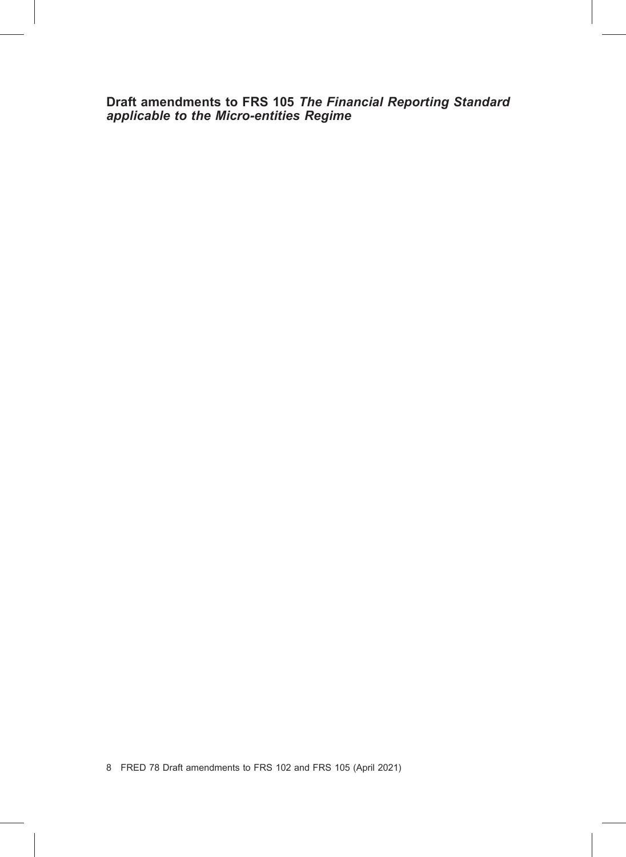Draft amendments to FRS 105 The Financial Reporting Standard applicable to the Micro-entities Regime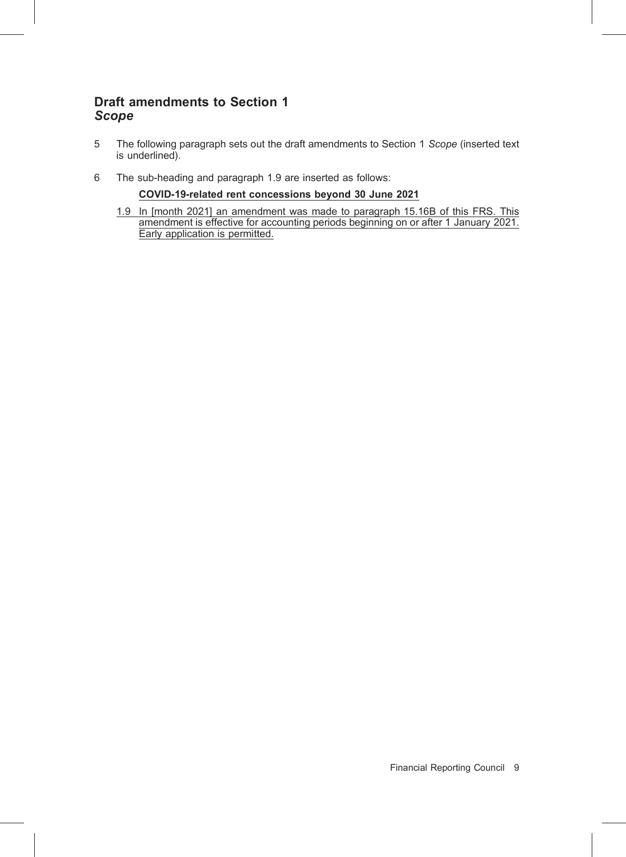## Draft amendments to Section 1 Scope

- 5 The following paragraph sets out the draft amendments to Section 1 Scope (inserted text is underlined).
- 6 The sub-heading and paragraph 1.9 are inserted as follows:

#### COVID-19-related rent concessions beyond 30 June 2021

1.9 In [month 2021] an amendment was made to paragraph 15.16B of this FRS. This amendment is effective for accounting periods beginning on or after 1 January 2021. Early application is permitted.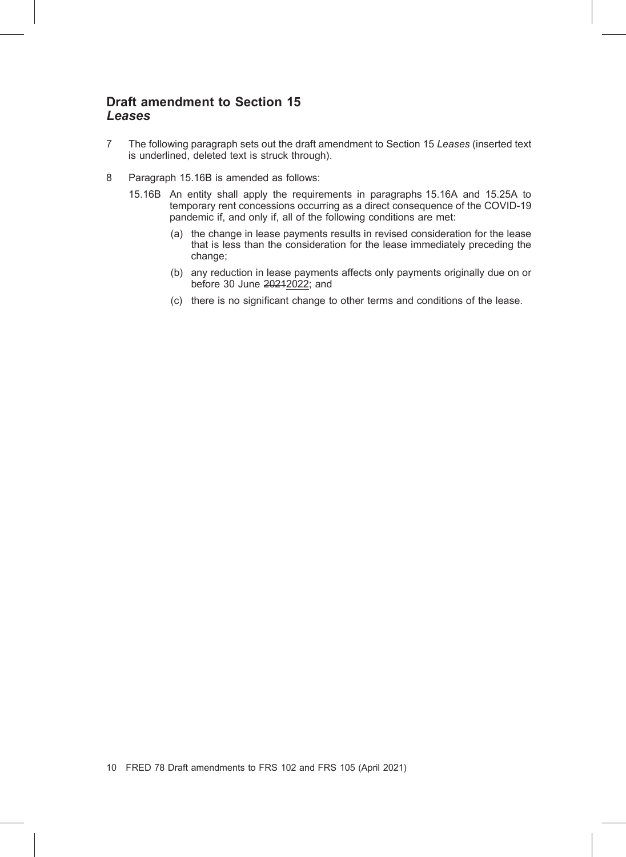## Draft amendment to Section 15 Leases

- 7 The following paragraph sets out the draft amendment to Section 15 Leases (inserted text is underlined, deleted text is struck through).
- 8 Paragraph 15.16B is amended as follows:
	- 15.16B An entity shall apply the requirements in paragraphs 15.16A and 15.25A to temporary rent concessions occurring as a direct consequence of the COVID-19 pandemic if, and only if, all of the following conditions are met:
		- (a) the change in lease payments results in revised consideration for the lease that is less than the consideration for the lease immediately preceding the change;
		- (b) any reduction in lease payments affects only payments originally due on or before 30 June 20212022; and
		- (c) there is no significant change to other terms and conditions of the lease.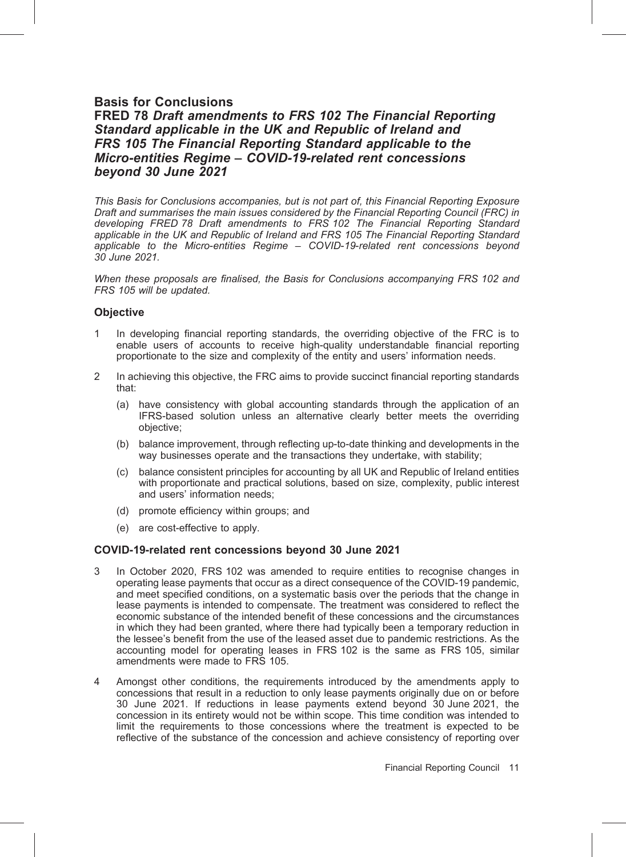## Basis for Conclusions FRED 78 Draft amendments to FRS 102 The Financial Reporting Standard applicable in the UK and Republic of Ireland and FRS 105 The Financial Reporting Standard applicable to the Micro-entities Regime – COVID-19-related rent concessions beyond 30 June 2021

This Basis for Conclusions accompanies, but is not part of, this Financial Reporting Exposure Draft and summarises the main issues considered by the Financial Reporting Council (FRC) in developing FRED 78 Draft amendments to FRS 102 The Financial Reporting Standard applicable in the UK and Republic of Ireland and FRS 105 The Financial Reporting Standard applicable to the Micro-entities Regime – COVID-19-related rent concessions beyond 30 June 2021.

When these proposals are finalised, the Basis for Conclusions accompanying FRS 102 and FRS 105 will be updated.

#### **Objective**

- 1 In developing financial reporting standards, the overriding objective of the FRC is to enable users of accounts to receive high-quality understandable financial reporting proportionate to the size and complexity of the entity and users' information needs.
- 2 In achieving this objective, the FRC aims to provide succinct financial reporting standards that:
	- (a) have consistency with global accounting standards through the application of an IFRS-based solution unless an alternative clearly better meets the overriding objective;
	- (b) balance improvement, through reflecting up-to-date thinking and developments in the way businesses operate and the transactions they undertake, with stability;
	- (c) balance consistent principles for accounting by all UK and Republic of Ireland entities with proportionate and practical solutions, based on size, complexity, public interest and users' information needs;
	- (d) promote efficiency within groups; and
	- (e) are cost-effective to apply.

#### COVID-19-related rent concessions beyond 30 June 2021

- 3 In October 2020, FRS 102 was amended to require entities to recognise changes in operating lease payments that occur as a direct consequence of the COVID-19 pandemic, and meet specified conditions, on a systematic basis over the periods that the change in lease payments is intended to compensate. The treatment was considered to reflect the economic substance of the intended benefit of these concessions and the circumstances in which they had been granted, where there had typically been a temporary reduction in the lessee's benefit from the use of the leased asset due to pandemic restrictions. As the accounting model for operating leases in FRS 102 is the same as FRS 105, similar amendments were made to FRS 105.
- 4 Amongst other conditions, the requirements introduced by the amendments apply to concessions that result in a reduction to only lease payments originally due on or before 30 June 2021. If reductions in lease payments extend beyond 30 June 2021, the concession in its entirety would not be within scope. This time condition was intended to limit the requirements to those concessions where the treatment is expected to be reflective of the substance of the concession and achieve consistency of reporting over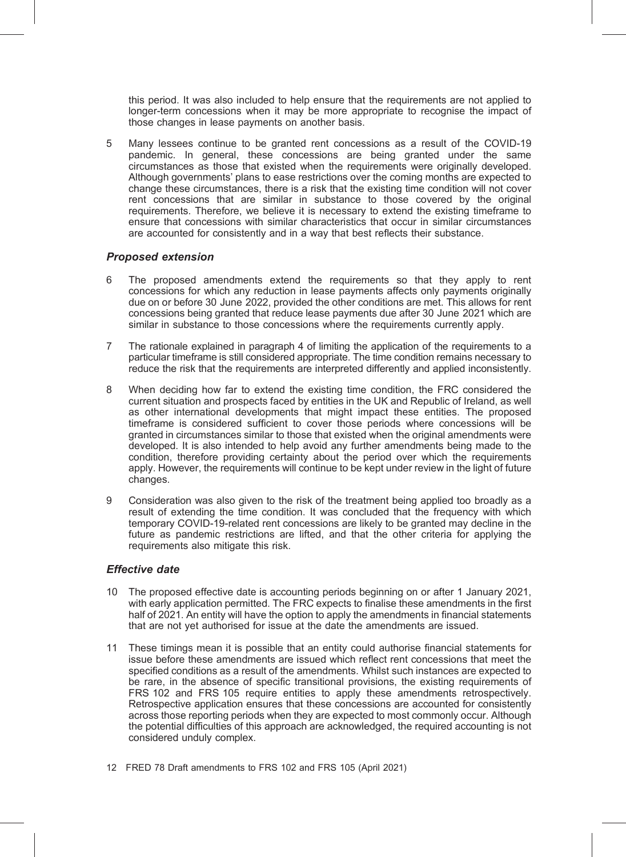this period. It was also included to help ensure that the requirements are not applied to longer-term concessions when it may be more appropriate to recognise the impact of those changes in lease payments on another basis.

5 Many lessees continue to be granted rent concessions as a result of the COVID-19 pandemic. In general, these concessions are being granted under the same circumstances as those that existed when the requirements were originally developed. Although governments' plans to ease restrictions over the coming months are expected to change these circumstances, there is a risk that the existing time condition will not cover rent concessions that are similar in substance to those covered by the original requirements. Therefore, we believe it is necessary to extend the existing timeframe to ensure that concessions with similar characteristics that occur in similar circumstances are accounted for consistently and in a way that best reflects their substance.

#### Proposed extension

- 6 The proposed amendments extend the requirements so that they apply to rent concessions for which any reduction in lease payments affects only payments originally due on or before 30 June 2022, provided the other conditions are met. This allows for rent concessions being granted that reduce lease payments due after 30 June 2021 which are similar in substance to those concessions where the requirements currently apply.
- 7 The rationale explained in paragraph 4 of limiting the application of the requirements to a particular timeframe is still considered appropriate. The time condition remains necessary to reduce the risk that the requirements are interpreted differently and applied inconsistently.
- 8 When deciding how far to extend the existing time condition, the FRC considered the current situation and prospects faced by entities in the UK and Republic of Ireland, as well as other international developments that might impact these entities. The proposed timeframe is considered sufficient to cover those periods where concessions will be granted in circumstances similar to those that existed when the original amendments were developed. It is also intended to help avoid any further amendments being made to the condition, therefore providing certainty about the period over which the requirements apply. However, the requirements will continue to be kept under review in the light of future changes.
- 9 Consideration was also given to the risk of the treatment being applied too broadly as a result of extending the time condition. It was concluded that the frequency with which temporary COVID-19-related rent concessions are likely to be granted may decline in the future as pandemic restrictions are lifted, and that the other criteria for applying the requirements also mitigate this risk.

#### Effective date

- 10 The proposed effective date is accounting periods beginning on or after 1 January 2021, with early application permitted. The FRC expects to finalise these amendments in the first half of 2021. An entity will have the option to apply the amendments in financial statements that are not yet authorised for issue at the date the amendments are issued.
- 11 These timings mean it is possible that an entity could authorise financial statements for issue before these amendments are issued which reflect rent concessions that meet the specified conditions as a result of the amendments. Whilst such instances are expected to be rare, in the absence of specific transitional provisions, the existing requirements of FRS 102 and FRS 105 require entities to apply these amendments retrospectively. Retrospective application ensures that these concessions are accounted for consistently across those reporting periods when they are expected to most commonly occur. Although the potential difficulties of this approach are acknowledged, the required accounting is not considered unduly complex.
- 12 FRED 78 Draft amendments to FRS 102 and FRS 105 (April 2021)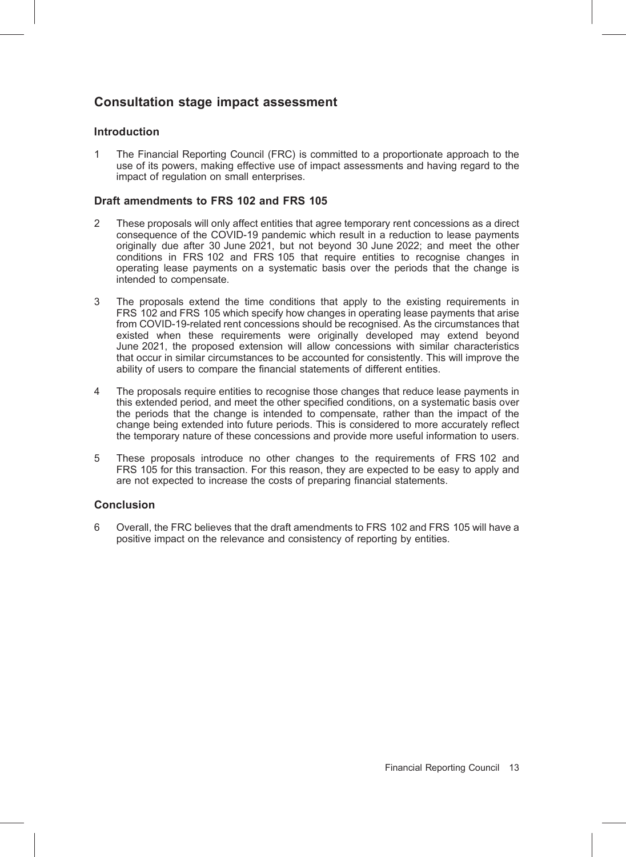## Consultation stage impact assessment

## Introduction

1 The Financial Reporting Council (FRC) is committed to a proportionate approach to the use of its powers, making effective use of impact assessments and having regard to the impact of regulation on small enterprises.

## Draft amendments to FRS 102 and FRS 105

- 2 These proposals will only affect entities that agree temporary rent concessions as a direct consequence of the COVID-19 pandemic which result in a reduction to lease payments originally due after 30 June 2021, but not beyond 30 June 2022; and meet the other conditions in FRS 102 and FRS 105 that require entities to recognise changes in operating lease payments on a systematic basis over the periods that the change is intended to compensate.
- 3 The proposals extend the time conditions that apply to the existing requirements in FRS 102 and FRS 105 which specify how changes in operating lease payments that arise from COVID-19-related rent concessions should be recognised. As the circumstances that existed when these requirements were originally developed may extend beyond June 2021, the proposed extension will allow concessions with similar characteristics that occur in similar circumstances to be accounted for consistently. This will improve the ability of users to compare the financial statements of different entities.
- 4 The proposals require entities to recognise those changes that reduce lease payments in this extended period, and meet the other specified conditions, on a systematic basis over the periods that the change is intended to compensate, rather than the impact of the change being extended into future periods. This is considered to more accurately reflect the temporary nature of these concessions and provide more useful information to users.
- 5 These proposals introduce no other changes to the requirements of FRS 102 and FRS 105 for this transaction. For this reason, they are expected to be easy to apply and are not expected to increase the costs of preparing financial statements.

## **Conclusion**

6 Overall, the FRC believes that the draft amendments to FRS 102 and FRS 105 will have a positive impact on the relevance and consistency of reporting by entities.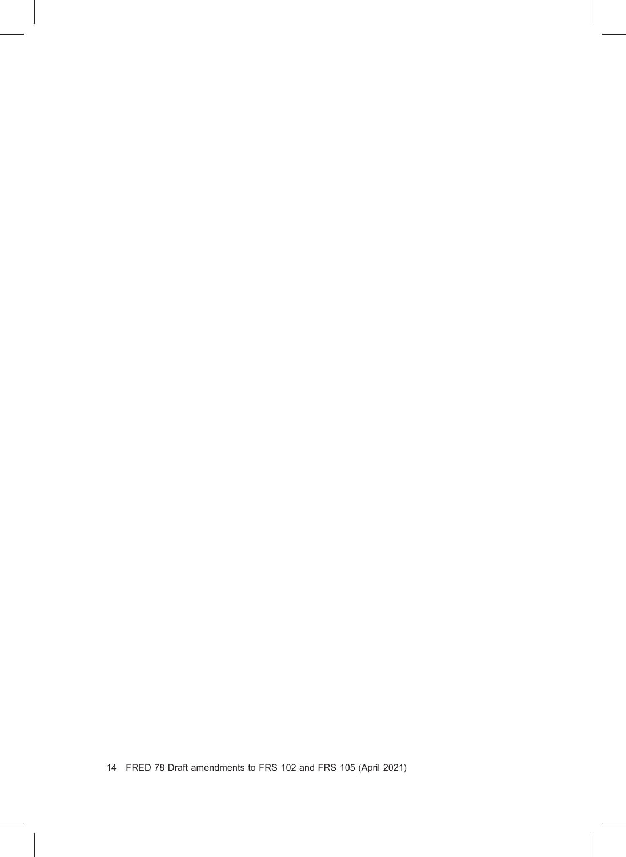14 FRED 78 Draft amendments to FRS 102 and FRS 105 (April 2021)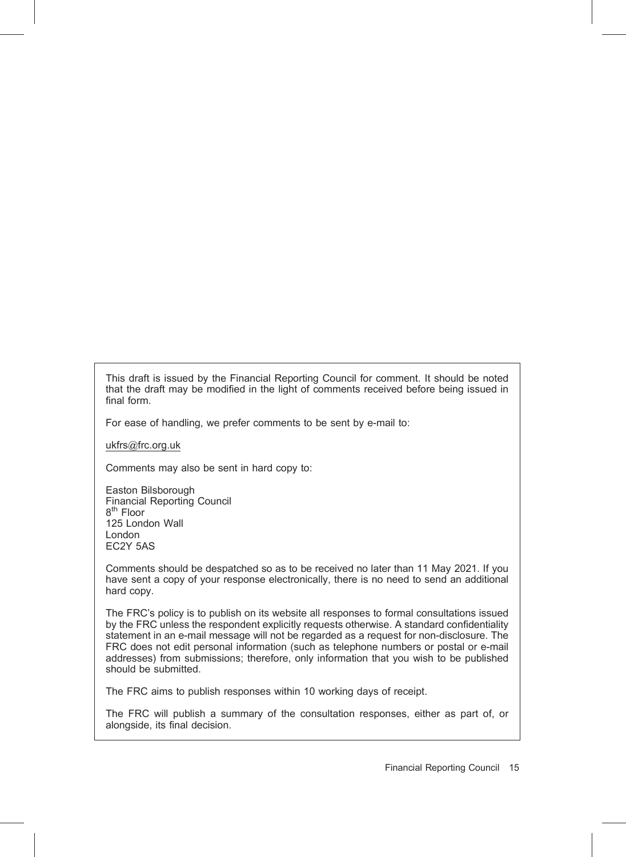This draft is issued by the Financial Reporting Council for comment. It should be noted that the draft may be modified in the light of comments received before being issued in final form.

For ease of handling, we prefer comments to be sent by e-mail to:

ukfrs@frc.org.uk

Comments may also be sent in hard copy to:

Easton Bilsborough Financial Reporting Council 8<sup>th</sup> Floor 125 London Wall London EC2Y 5AS

Comments should be despatched so as to be received no later than 11 May 2021. If you have sent a copy of your response electronically, there is no need to send an additional hard copy.

The FRC's policy is to publish on its website all responses to formal consultations issued by the FRC unless the respondent explicitly requests otherwise. A standard confidentiality statement in an e-mail message will not be regarded as a request for non-disclosure. The FRC does not edit personal information (such as telephone numbers or postal or e-mail addresses) from submissions; therefore, only information that you wish to be published should be submitted.

The FRC aims to publish responses within 10 working days of receipt.

The FRC will publish a summary of the consultation responses, either as part of, or alongside, its final decision.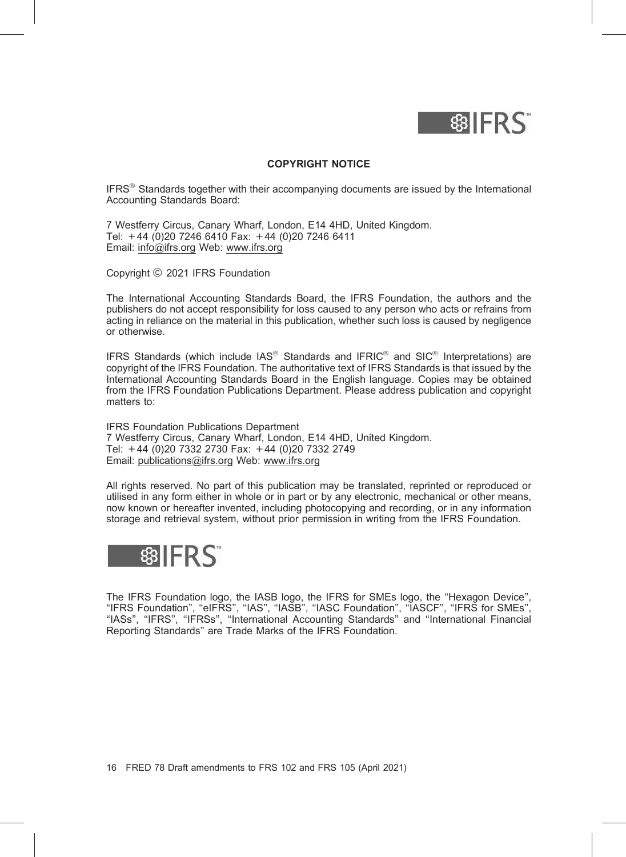

#### COPYRIGHT NOTICE

IFRS<sup>®</sup> Standards together with their accompanying documents are issued by the International Accounting Standards Board:

7 Westferry Circus, Canary Wharf, London, E14 4HD, United Kingdom. Tel: +44 (0)20 7246 6410 Fax: +44 (0)20 7246 6411 Email: info@ifrs.org Web: www.ifrs.org

Copyright © 2021 IFRS Foundation

The International Accounting Standards Board, the IFRS Foundation, the authors and the publishers do not accept responsibility for loss caused to any person who acts or refrains from acting in reliance on the material in this publication, whether such loss is caused by negligence or otherwise.

IFRS Standards (which include IAS<sup>®</sup> Standards and IFRIC<sup>®</sup> and SIC<sup>®</sup> Interpretations) are copyright of the IFRS Foundation. The authoritative text of IFRS Standards is that issued by the International Accounting Standards Board in the English language. Copies may be obtained from the IFRS Foundation Publications Department. Please address publication and copyright matters to:

IFRS Foundation Publications Department 7 Westferry Circus, Canary Wharf, London, E14 4HD, United Kingdom. Tel: +44 (0)20 7332 2730 Fax: +44 (0)20 7332 2749 Email: publications@ifrs.org Web: www.ifrs.org

All rights reserved. No part of this publication may be translated, reprinted or reproduced or utilised in any form either in whole or in part or by any electronic, mechanical or other means, now known or hereafter invented, including photocopying and recording, or in any information storage and retrieval system, without prior permission in writing from the IFRS Foundation.

## **\$SIFRS**

The IFRS Foundation logo, the IASB logo, the IFRS for SMEs logo, the ''Hexagon Device'', ''IFRS Foundation'', ''eIFRS'', ''IAS'', ''IASB'', ''IASC Foundation'', ''IASCF'', ''IFRS for SMEs'', ''IASs'', ''IFRS'', ''IFRSs'', ''International Accounting Standards'' and ''International Financial Reporting Standards'' are Trade Marks of the IFRS Foundation.